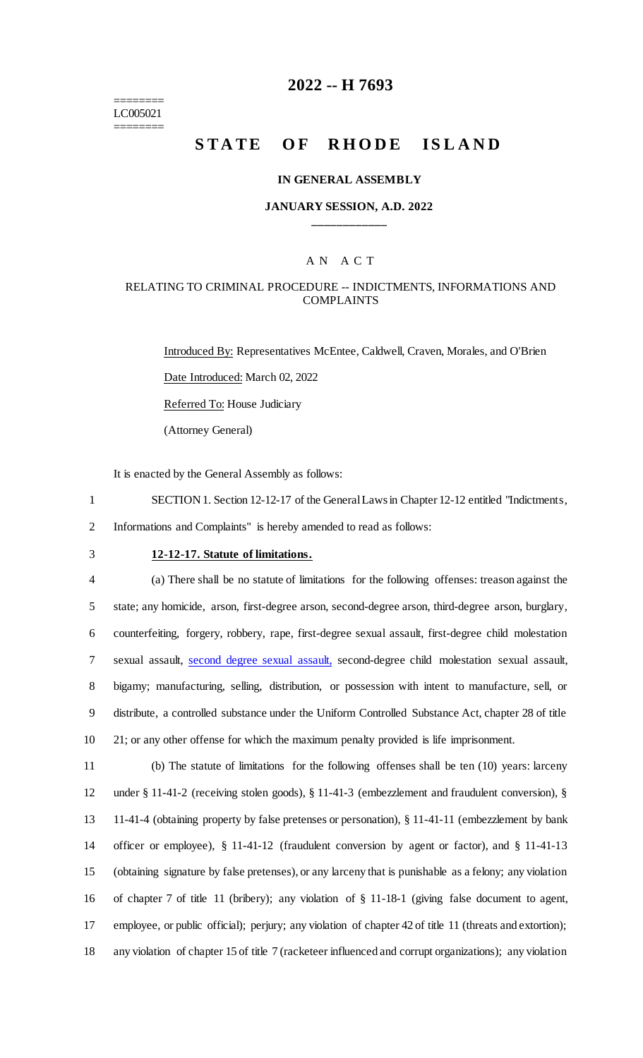======== LC005021 ========

# **2022 -- H 7693**

# **STATE OF RHODE ISLAND**

#### **IN GENERAL ASSEMBLY**

### **JANUARY SESSION, A.D. 2022 \_\_\_\_\_\_\_\_\_\_\_\_**

### A N A C T

### RELATING TO CRIMINAL PROCEDURE -- INDICTMENTS, INFORMATIONS AND COMPLAINTS

Introduced By: Representatives McEntee, Caldwell, Craven, Morales, and O'Brien Date Introduced: March 02, 2022 Referred To: House Judiciary (Attorney General)

It is enacted by the General Assembly as follows:

1 SECTION 1. Section 12-12-17 of the General Laws in Chapter 12-12 entitled "Indictments, 2 Informations and Complaints" is hereby amended to read as follows:

# 3 **12-12-17. Statute of limitations.**

 (a) There shall be no statute of limitations for the following offenses: treason against the state; any homicide, arson, first-degree arson, second-degree arson, third-degree arson, burglary, counterfeiting, forgery, robbery, rape, first-degree sexual assault, first-degree child molestation sexual assault, second degree sexual assault, second-degree child molestation sexual assault, bigamy; manufacturing, selling, distribution, or possession with intent to manufacture, sell, or distribute, a controlled substance under the Uniform Controlled Substance Act, chapter 28 of title 21; or any other offense for which the maximum penalty provided is life imprisonment.

 (b) The statute of limitations for the following offenses shall be ten (10) years: larceny under § 11-41-2 (receiving stolen goods), § 11-41-3 (embezzlement and fraudulent conversion), § 11-41-4 (obtaining property by false pretenses or personation), § 11-41-11 (embezzlement by bank officer or employee), § 11-41-12 (fraudulent conversion by agent or factor), and § 11-41-13 (obtaining signature by false pretenses), or any larceny that is punishable as a felony; any violation of chapter 7 of title 11 (bribery); any violation of § 11-18-1 (giving false document to agent, employee, or public official); perjury; any violation of chapter 42 of title 11 (threats and extortion); any violation of chapter 15 of title 7 (racketeer influenced and corrupt organizations); any violation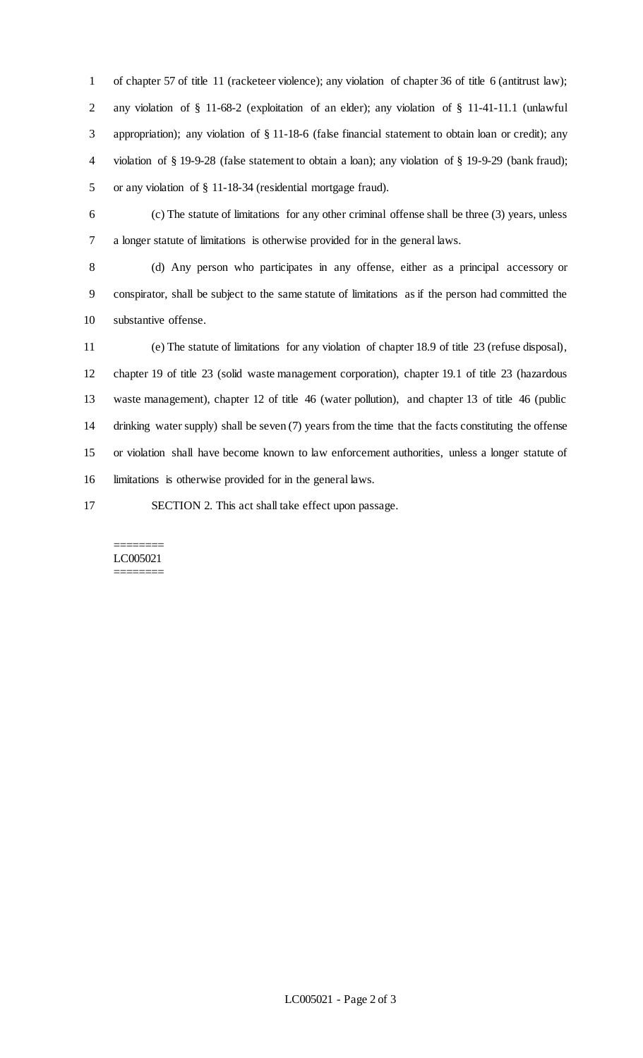of chapter 57 of title 11 (racketeer violence); any violation of chapter 36 of title 6 (antitrust law); any violation of § 11-68-2 (exploitation of an elder); any violation of § 11-41-11.1 (unlawful appropriation); any violation of § 11-18-6 (false financial statement to obtain loan or credit); any violation of § 19-9-28 (false statement to obtain a loan); any violation of § 19-9-29 (bank fraud); or any violation of § 11-18-34 (residential mortgage fraud).

 (c) The statute of limitations for any other criminal offense shall be three (3) years, unless a longer statute of limitations is otherwise provided for in the general laws.

 (d) Any person who participates in any offense, either as a principal accessory or conspirator, shall be subject to the same statute of limitations as if the person had committed the substantive offense.

 (e) The statute of limitations for any violation of chapter 18.9 of title 23 (refuse disposal), chapter 19 of title 23 (solid waste management corporation), chapter 19.1 of title 23 (hazardous waste management), chapter 12 of title 46 (water pollution), and chapter 13 of title 46 (public drinking water supply) shall be seven (7) years from the time that the facts constituting the offense or violation shall have become known to law enforcement authorities, unless a longer statute of limitations is otherwise provided for in the general laws.

SECTION 2. This act shall take effect upon passage.

#### ======== LC005021 ========